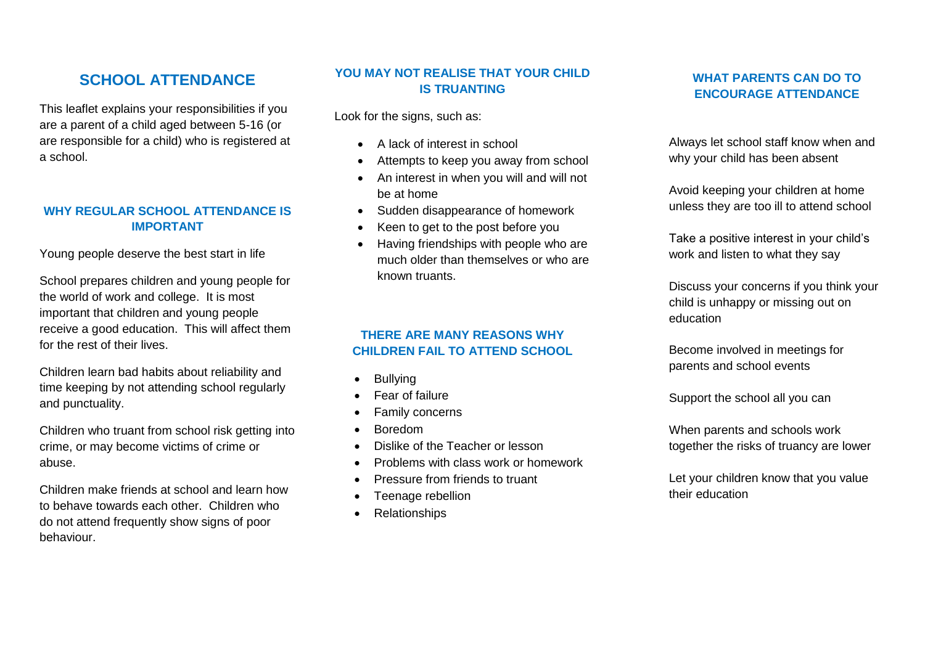# **SCHOOL ATTENDANCE**

This leaflet explains your responsibilities if you are a parent of a child aged between 5-16 (or are responsible for a child) who is registered at a school.

## **WHY REGULAR SCHOOL ATTENDANCE IS IMPORTANT**

Young people deserve the best start in life

School prepares children and young people for the world of work and college. It is most important that children and young people receive a good education. This will affect them for the rest of their lives.

Children learn bad habits about reliability and time keeping by not attending school regularly and punctuality.

Children who truant from school risk getting into crime, or may become victims of crime or abuse.

Children make friends at school and learn how to behave towards each other. Children who do not attend frequently show signs of poor behaviour.

## **YOU MAY NOT REALISE THAT YOUR CHILD IS TRUANTING**

Look for the signs, such as:

- A lack of interest in school
- Attempts to keep you away from school
- An interest in when you will and will not be at home
- Sudden disappearance of homework
- Keen to get to the post before you
- Having friendships with people who are much older than themselves or who are known truants.

## **THERE ARE MANY REASONS WHY CHILDREN FAIL TO ATTEND SCHOOL**

- Bullying
- Fear of failure
- Family concerns
- Boredom
- Dislike of the Teacher or lesson
- Problems with class work or homework
- Pressure from friends to truant
- Teenage rebellion
- Relationships

# **WHAT PARENTS CAN DO TO ENCOURAGE ATTENDANCE**

Always let school staff know when and why your child has been absent

Avoid keeping your children at home unless they are too ill to attend school

Take a positive interest in your child's work and listen to what they say

Discuss your concerns if you think your child is unhappy or missing out on education

Become involved in meetings for parents and school events

Support the school all you can

When parents and schools work together the risks of truancy are lower

Let your children know that you value their education